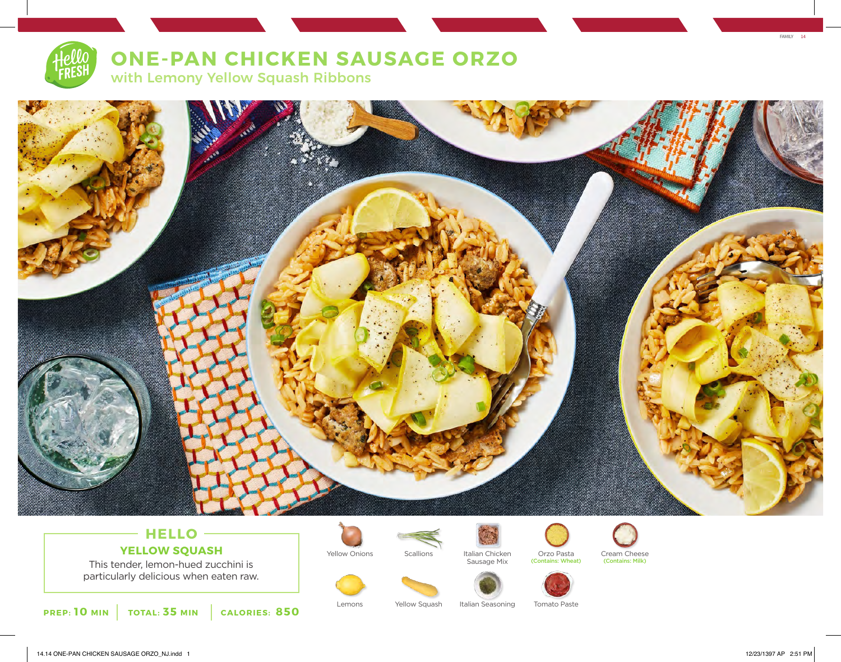# **ONE-PAN CHICKEN SAUSAGE ORZO** with Lemony Yellow Squash Ribbons



## **HELLO YELLOW SQUASH** Yellow Onions Scallions Italian Circle Orzo Pasta

This tender, lemon-hued zucchini is particularly delicious when eaten raw.

**PREP: 10 MIN TOTAL: 35 MIN CALORIES: 850**





Sausage Mix

Lemons Yellow Squash Italian Seasoning Tomato Paste





Italian Chicken Orzo Pasta Cream Cheese<br>Sausage Mix (Contains: Wheat) (Contains: Milk)



FAMILY 14